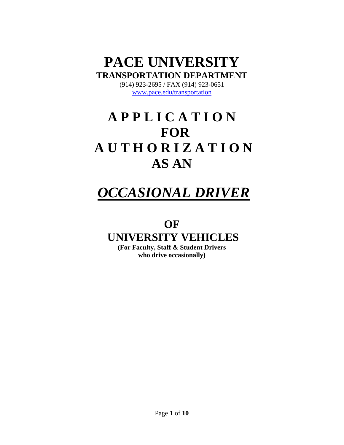# **PACE UNIVERSITY TRANSPORTATION DEPARTMENT**

(914) 923-2695 / FAX (914) 923-0651 www.pace.edu/transportation

# **A P P L I C A T I O N FOR A U T H O R I Z A T I O N AS AN**

# *OCCASIONAL DRIVER*

# **OF**

# **UNIVERSITY VEHICLES**

**(For Faculty, Staff & Student Drivers who drive occasionally)**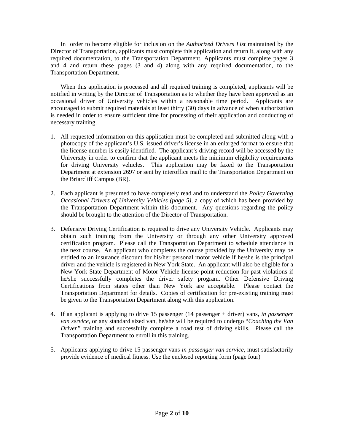In order to become eligible for inclusion on the *Authorized Drivers List* maintained by the Director of Transportation, applicants must complete this application and return it, along with any required documentation, to the Transportation Department. Applicants must complete pages 3 and 4 and return these pages (3 and 4) along with any required documentation, to the Transportation Department.

When this application is processed and all required training is completed, applicants will be notified in writing by the Director of Transportation as to whether they have been approved as an occasional driver of University vehicles within a reasonable time period. Applicants are encouraged to submit required materials at least thirty (30) days in advance of when authorization is needed in order to ensure sufficient time for processing of their application and conducting of necessary training.

- 1. All requested information on this application must be completed and submitted along with a photocopy of the applicant's U.S. issued driver's license in an enlarged format to ensure that the license number is easily identified. The applicant's driving record will be accessed by the University in order to confirm that the applicant meets the minimum eligibility requirements for driving University vehicles. This application may be faxed to the Transportation Department at extension 2697 or sent by interoffice mail to the Transportation Department on the Briarcliff Campus (BR).
- 2. Each applicant is presumed to have completely read and to understand the *Policy Governing Occasional Drivers of University Vehicles (page 5)*, a copy of which has been provided by the Transportation Department within this document. Any questions regarding the policy should be brought to the attention of the Director of Transportation.
- 3. Defensive Driving Certification is required to drive any University Vehicle. Applicants may obtain such training from the University or through any other University approved certification program. Please call the Transportation Department to schedule attendance in the next course. An applicant who completes the course provided by the University may be entitled to an insurance discount for his/her personal motor vehicle if he/she is the principal driver and the vehicle is registered in New York State. An applicant will also be eligible for a New York State Department of Motor Vehicle license point reduction for past violations if he/she successfully completes the driver safety program. Other Defensive Driving Certifications from states other than New York are acceptable. Please contact the Transportation Department for details. Copies of certification for pre-existing training must be given to the Transportation Department along with this application.
- 4. If an applicant is applying to drive 15 passenger (14 passenger + driver) vans, *in passenger van service,* or any standard sized van, he/she will be required to undergo "*Coaching the Van Driver"* training and successfully complete a road test of driving skills. Please call the Transportation Department to enroll in this training.
- 5. Applicants applying to drive 15 passenger vans *in passenger van service,* must satisfactorily provide evidence of medical fitness. Use the enclosed reporting form (page four)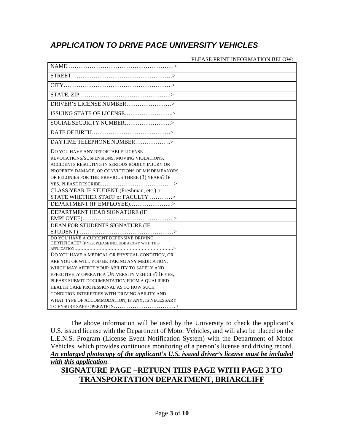## *APPLICATION TO DRIVE PACE UNIVERSITY VEHICLES*

|                                                      | PLEASE PRINT INFORMATION BELOW: |
|------------------------------------------------------|---------------------------------|
|                                                      |                                 |
|                                                      |                                 |
|                                                      |                                 |
|                                                      |                                 |
|                                                      |                                 |
|                                                      |                                 |
|                                                      |                                 |
|                                                      |                                 |
| DAYTIME TELEPHONE NUMBER>                            |                                 |
| DO YOU HAVE ANY REPORTABLE LICENSE                   |                                 |
| REVOCATIONS/SUSPENSIONS, MOVING VIOLATIONS,          |                                 |
| ACCIDENTS RESULTING IN SERIOUS BODILY INJURY OR      |                                 |
| PROPERTY DAMAGE, OR CONVICTIONS OF MISDEMEANORS      |                                 |
| OR FELONIES FOR THE PREVIOUS THREE (3) YEARS? IF     |                                 |
|                                                      |                                 |
| CLASS YEAR IF STUDENT (Freshman, etc.) or            |                                 |
| STATE WHETHER STAFF or FACULTY >                     |                                 |
| DEPARTMENT (IF EMPLOYEE)>                            |                                 |
| DEPARTMENT HEAD SIGNATURE (IF                        |                                 |
|                                                      |                                 |
| DEAN FOR STUDENTS SIGNATURE (IF                      |                                 |
|                                                      |                                 |
|                                                      |                                 |
| CERTIFICATE? IF YES, PLEASE INCLUDE A COPY WITH THIS |                                 |
|                                                      |                                 |
| DO YOU HAVE A MEDICAL OR PHYSICAL CONDITION, OR      |                                 |
| ARE YOU OR WILL YOU BE TAKING ANY MEDICATION,        |                                 |
| WHICH MAY AFFECT YOUR ABILITY TO SAFELY AND          |                                 |
| EFFECTIVELY OPERATE A UNIVERSITY VEHICLE? IF YES,    |                                 |
| PLEASE SUBMIT DOCUMENTATION FROM A QUALIFIED         |                                 |
| HEALTH CARE PROFESSIONAL AS TO HOW SUCH              |                                 |
| CONDITION INTERFERES WITH DRIVING ABILITY AND        |                                 |
| WHAT TYPE OF ACCOMMODATION, IF ANY, IS NECESSARY     |                                 |
|                                                      |                                 |

The above information will be used by the University to check the applicant's U.S. issued license with the Department of Motor Vehicles, and will also be placed on the L.E.N.S. Program (License Event Notification System) with the Department of Motor Vehicles, which provides continuous monitoring of a person's license and driving record. *An enlarged photocopy of the applicant's U.S. issued driver's license must be included with this application*.

### **SIGNATURE PAGE –RETURN THIS PAGE WITH PAGE 3 TO TRANSPORTATION DEPARTMENT, BRIARCLIFF**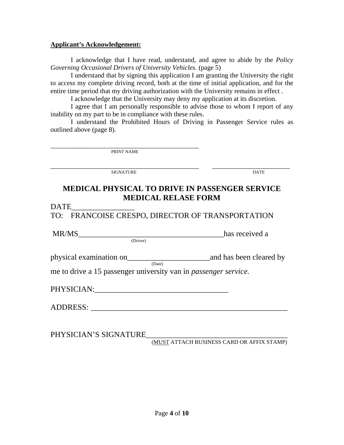#### **Applicant's Acknowledgement:**

I acknowledge that I have read, understand, and agree to abide by the *Policy Governing Occasional Drivers of University Vehicles*. (page 5)

I understand that by signing this application I am granting the University the right to access my complete driving record, both at the time of initial application, and for the entire time period that my driving authorization with the University remains in effect .

I acknowledge that the University may deny my application at its discretion.

I agree that I am personally responsible to advise those to whom I report of any inability on my part to be in compliance with these rules.

I understand the Prohibited Hours of Driving in Passenger Service rules as outlined above (page 8).

\_\_\_\_\_\_\_\_\_\_\_\_\_\_\_\_\_\_\_\_\_\_\_\_\_\_\_\_\_\_\_\_\_\_\_\_\_\_\_\_\_\_\_\_ PRINT NAME

\_\_\_\_\_\_\_\_\_\_\_\_\_\_\_\_\_\_\_\_\_\_\_\_\_\_\_\_\_\_\_\_\_\_\_\_\_\_\_\_\_\_\_\_ \_\_\_\_\_\_\_\_\_\_\_\_\_\_\_\_\_\_\_\_\_\_\_ SIGNATURE DATE

## **MEDICAL PHYSICAL TO DRIVE IN PASSENGER SERVICE MEDICAL RELASE FORM**

#### DATE\_\_\_\_\_\_\_\_\_\_\_\_\_\_\_\_

TO: FRANCOISE CRESPO, DIRECTOR OF TRANSPORTATION

MR/MS
lexial and the contract of the contract of the contract of the contract of the contract of the contract of the contract of the contract of the contract of the contract of the contract of the contract of the contract

physical examination on\_\_\_\_\_\_\_\_\_\_\_\_\_\_\_\_\_\_\_\_\_and has been cleared by (Date)

me to drive a 15 passenger university van in *passenger service.*

| <b>PHYSICIAN</b> |
|------------------|
|------------------|

ADDRESS:

PHYSICIAN'S SIGNATURE\_\_\_\_\_\_\_\_\_\_\_\_\_\_\_\_\_\_\_\_\_\_\_\_\_\_\_\_\_\_\_\_\_\_\_\_ (MUST ATTACH BUSINESS CARD OR AFFIX STAMP)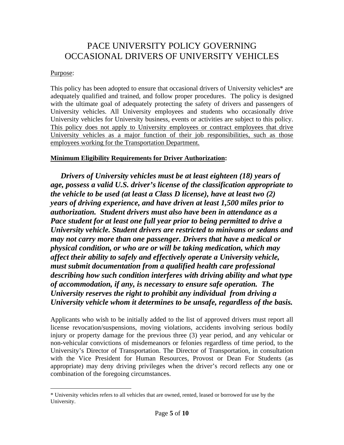## PACE UNIVERSITY POLICY GOVERNING OCCASIONAL DRIVERS OF UNIVERSITY VEHICLES

#### Purpose:

 $\overline{a}$ 

This policy has been adopted to ensure that occasional drivers of University vehicles\* are adequately qualified and trained, and follow proper procedures. The policy is designed with the ultimate goal of adequately protecting the safety of drivers and passengers of University vehicles. All University employees and students who occasionally drive University vehicles for University business, events or activities are subject to this policy. This policy does not apply to University employees or contract employees that drive University vehicles as a major function of their job responsibilities, such as those employees working for the Transportation Department.

#### **Minimum Eligibility Requirements for Driver Authorization:**

*Drivers of University vehicles must be at least eighteen (18) years of age, possess a valid U.S. driver's license of the classification appropriate to the vehicle to be used (at least a Class D license), have at least two (2) years of driving experience, and have driven at least 1,500 miles prior to authorization. Student drivers must also have been in attendance as a Pace student for at least one full year prior to being permitted to drive a University vehicle. Student drivers are restricted to minivans or sedans and may not carry more than one passenger. Drivers that have a medical or physical condition, or who are or will be taking medication, which may affect their ability to safely and effectively operate a University vehicle, must submit documentation from a qualified health care professional describing how such condition interferes with driving ability and what type of accommodation, if any, is necessary to ensure safe operation. The University reserves the right to prohibit any individual from driving a University vehicle whom it determines to be unsafe, regardless of the basis.* 

Applicants who wish to be initially added to the list of approved drivers must report all license revocation/suspensions, moving violations, accidents involving serious bodily injury or property damage for the previous three (3) year period, and any vehicular or non-vehicular convictions of misdemeanors or felonies regardless of time period, to the University's Director of Transportation. The Director of Transportation, in consultation with the Vice President for Human Resources, Provost or Dean For Students (as appropriate) may deny driving privileges when the driver's record reflects any one or combination of the foregoing circumstances.

<sup>\*</sup> University vehicles refers to all vehicles that are owned, rented, leased or borrowed for use by the University.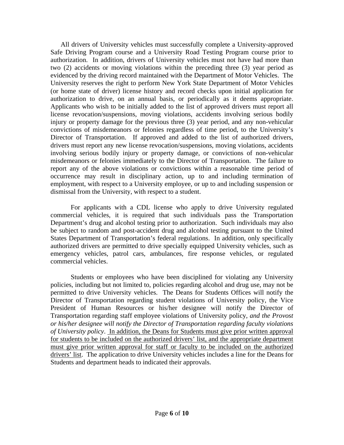All drivers of University vehicles must successfully complete a University-approved Safe Driving Program course and a University Road Testing Program course prior to authorization. In addition, drivers of University vehicles must not have had more than two (2) accidents or moving violations within the preceding three (3) year period as evidenced by the driving record maintained with the Department of Motor Vehicles. The University reserves the right to perform New York State Department of Motor Vehicles (or home state of driver) license history and record checks upon initial application for authorization to drive, on an annual basis, or periodically as it deems appropriate. Applicants who wish to be initially added to the list of approved drivers must report all license revocation/suspensions, moving violations, accidents involving serious bodily injury or property damage for the previous three (3) year period, and any non-vehicular convictions of misdemeanors or felonies regardless of time period, to the University's Director of Transportation. If approved and added to the list of authorized drivers, drivers must report any new license revocation/suspensions, moving violations, accidents involving serious bodily injury or property damage, or convictions of non-vehicular misdemeanors or felonies immediately to the Director of Transportation. The failure to report any of the above violations or convictions within a reasonable time period of occurrence may result in disciplinary action, up to and including termination of employment, with respect to a University employee, or up to and including suspension or dismissal from the University, with respect to a student.

 For applicants with a CDL license who apply to drive University regulated commercial vehicles, it is required that such individuals pass the Transportation Department's drug and alcohol testing prior to authorization. Such individuals may also be subject to random and post-accident drug and alcohol testing pursuant to the United States Department of Transportation's federal regulations. In addition, only specifically authorized drivers are permitted to drive specially equipped University vehicles, such as emergency vehicles, patrol cars, ambulances, fire response vehicles, or regulated commercial vehicles.

Students or employees who have been disciplined for violating any University policies, including but not limited to, policies regarding alcohol and drug use, may not be permitted to drive University vehicles. The Deans for Students Offices will notify the Director of Transportation regarding student violations of University policy, the Vice President of Human Resources or his/her designee will notify the Director of Transportation regarding staff employee violations of University policy, *and the Provost or his/her designee will notify the Director of Transportation regarding faculty violations of University policy*. In addition, the Deans for Students must give prior written approval for students to be included on the authorized drivers' list, and the appropriate department must give prior written approval for staff or faculty to be included on the authorized drivers' list. The application to drive University vehicles includes a line for the Deans for Students and department heads to indicated their approvals.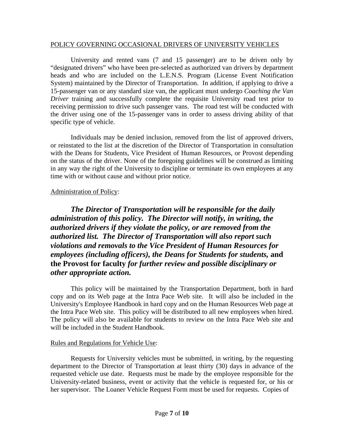#### POLICY GOVERNING OCCASIONAL DRIVERS OF UNIVERSITY VEHICLES

University and rented vans (7 and 15 passenger) are to be driven only by "designated drivers" who have been pre-selected as authorized van drivers by department heads and who are included on the L.E.N.S. Program (License Event Notification System) maintained by the Director of Transportation. In addition, if applying to drive a 15-passenger van or any standard size van, the applicant must undergo *Coaching the Van Driver* training and successfully complete the requisite University road test prior to receiving permission to drive such passenger vans. The road test will be conducted with the driver using one of the 15-passenger vans in order to assess driving ability of that specific type of vehicle.

 Individuals may be denied inclusion, removed from the list of approved drivers, or reinstated to the list at the discretion of the Director of Transportation in consultation with the Deans for Students, Vice President of Human Resources, or Provost depending on the status of the driver. None of the foregoing guidelines will be construed as limiting in any way the right of the University to discipline or terminate its own employees at any time with or without cause and without prior notice.

#### Administration of Policy:

*The Director of Transportation will be responsible for the daily administration of this policy. The Director will notify, in writing, the authorized drivers if they violate the policy, or are removed from the authorized list. The Director of Transportation will also report such violations and removals to the Vice President of Human Resources for employees (including officers), the Deans for Students for students,* **and the Provost for faculty** *for further review and possible disciplinary or other appropriate action.* 

This policy will be maintained by the Transportation Department, both in hard copy and on its Web page at the Intra Pace Web site. It will also be included in the University's Employee Handbook in hard copy and on the Human Resources Web page at the Intra Pace Web site. This policy will be distributed to all new employees when hired. The policy will also be available for students to review on the Intra Pace Web site and will be included in the Student Handbook.

#### Rules and Regulations for Vehicle Use:

Requests for University vehicles must be submitted, in writing, by the requesting department to the Director of Transportation at least thirty (30) days in advance of the requested vehicle use date. Requests must be made by the employee responsible for the University-related business, event or activity that the vehicle is requested for, or his or her supervisor. The Loaner Vehicle Request Form must be used for requests. Copies of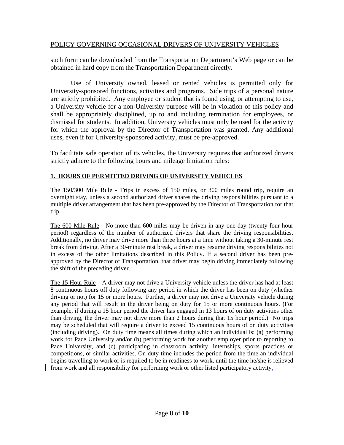#### POLICY GOVERNING OCCASIONAL DRIVERS OF UNIVERSITY VEHICLES

such form can be downloaded from the Transportation Department's Web page or can be obtained in hard copy from the Transportation Department directly.

Use of University owned, leased or rented vehicles is permitted only for University-sponsored functions, activities and programs. Side trips of a personal nature are strictly prohibited. Any employee or student that is found using, or attempting to use, a University vehicle for a non-University purpose will be in violation of this policy and shall be appropriately disciplined, up to and including termination for employees, or dismissal for students. In addition, University vehicles must only be used for the activity for which the approval by the Director of Transportation was granted. Any additional uses, even if for University-sponsored activity, must be pre-approved.

To facilitate safe operation of its vehicles, the University requires that authorized drivers strictly adhere to the following hours and mileage limitation rules:

#### **1. HOURS OF PERMITTED DRIVING OF UNIVERSITY VEHICLES**

The 150/300 Mile Rule - Trips in excess of 150 miles, or 300 miles round trip, require an overnight stay, unless a second authorized driver shares the driving responsibilities pursuant to a multiple driver arrangement that has been pre-approved by the Director of Transportation for that trip.

The 600 Mile Rule - No more than 600 miles may be driven in any one-day (twenty-four hour period) regardless of the number of authorized drivers that share the driving responsibilities. Additionally, no driver may drive more than three hours at a time without taking a 30-minute rest break from driving. After a 30-minute rest break, a driver may resume driving responsibilities not in excess of the other limitations described in this Policy. If a second driver has been preapproved by the Director of Transportation, that driver may begin driving immediately following the shift of the preceding driver.

The 15 Hour Rule – A driver may not drive a University vehicle unless the driver has had at least 8 continuous hours off duty following any period in which the driver has been on duty (whether driving or not) for 15 or more hours. Further, a driver may not drive a University vehicle during any period that will result in the driver being on duty for 15 or more continuous hours. (For example, if during a 15 hour period the driver has engaged in 13 hours of on duty activities other than driving, the driver may not drive more than 2 hours during that 15 hour period.) No trips may be scheduled that will require a driver to exceed 15 continuous hours of on duty activities (including driving). On duty time means all times during which an individual is: (a) performing work for Pace University and/or (b) performing work for another employer prior to reporting to Pace University, and (c) participating in classroom activity, internships, sports practices or competitions, or similar activities. On duty time includes the period from the time an individual begins travelling to work or is required to be in readiness to work, until the time he/she is relieved from work and all responsibility for performing work or other listed participatory activity.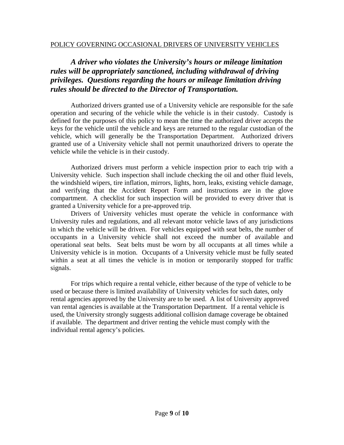### *A driver who violates the University's hours or mileage limitation rules will be appropriately sanctioned, including withdrawal of driving privileges. Questions regarding the hours or mileage limitation driving rules should be directed to the Director of Transportation.*

Authorized drivers granted use of a University vehicle are responsible for the safe operation and securing of the vehicle while the vehicle is in their custody. Custody is defined for the purposes of this policy to mean the time the authorized driver accepts the keys for the vehicle until the vehicle and keys are returned to the regular custodian of the vehicle, which will generally be the Transportation Department. Authorized drivers granted use of a University vehicle shall not permit unauthorized drivers to operate the vehicle while the vehicle is in their custody.

 Authorized drivers must perform a vehicle inspection prior to each trip with a University vehicle. Such inspection shall include checking the oil and other fluid levels, the windshield wipers, tire inflation, mirrors, lights, horn, leaks, existing vehicle damage, and verifying that the Accident Report Form and instructions are in the glove compartment. A checklist for such inspection will be provided to every driver that is granted a University vehicle for a pre-approved trip.

Drivers of University vehicles must operate the vehicle in conformance with University rules and regulations, and all relevant motor vehicle laws of any jurisdictions in which the vehicle will be driven. For vehicles equipped with seat belts, the number of occupants in a University vehicle shall not exceed the number of available and operational seat belts. Seat belts must be worn by all occupants at all times while a University vehicle is in motion. Occupants of a University vehicle must be fully seated within a seat at all times the vehicle is in motion or temporarily stopped for traffic signals.

For trips which require a rental vehicle, either because of the type of vehicle to be used or because there is limited availability of University vehicles for such dates, only rental agencies approved by the University are to be used. A list of University approved van rental agencies is available at the Transportation Department. If a rental vehicle is used, the University strongly suggests additional collision damage coverage be obtained if available. The department and driver renting the vehicle must comply with the individual rental agency's policies*.*